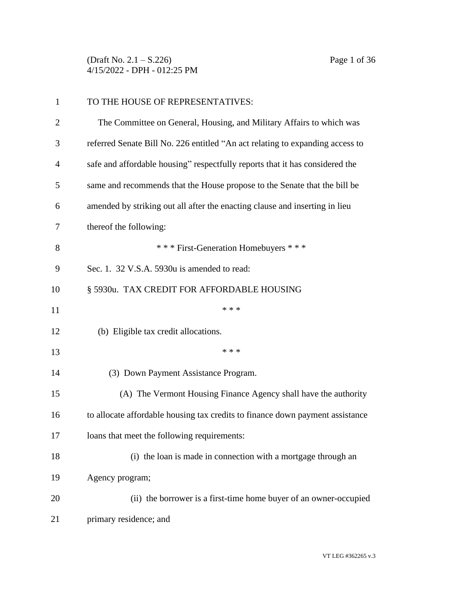(Draft No. 2.1 – S.226) Page 1 of 36 4/15/2022 - DPH - 012:25 PM

| $\mathbf{1}$   | TO THE HOUSE OF REPRESENTATIVES:                                              |
|----------------|-------------------------------------------------------------------------------|
| $\overline{2}$ | The Committee on General, Housing, and Military Affairs to which was          |
| 3              | referred Senate Bill No. 226 entitled "An act relating to expanding access to |
| $\overline{4}$ | safe and affordable housing" respectfully reports that it has considered the  |
| 5              | same and recommends that the House propose to the Senate that the bill be     |
| 6              | amended by striking out all after the enacting clause and inserting in lieu   |
| 7              | thereof the following:                                                        |
| 8              | *** First-Generation Homebuyers ***                                           |
| 9              | Sec. 1. 32 V.S.A. 5930u is amended to read:                                   |
| 10             | § 5930u. TAX CREDIT FOR AFFORDABLE HOUSING                                    |
| 11             | * * *                                                                         |
| 12             | (b) Eligible tax credit allocations.                                          |
| 13             | * * *                                                                         |
| 14             | (3) Down Payment Assistance Program.                                          |
| 15             | (A) The Vermont Housing Finance Agency shall have the authority               |
| 16             | to allocate affordable housing tax credits to finance down payment assistance |
| 17             | loans that meet the following requirements:                                   |
| 18             | (i) the loan is made in connection with a mortgage through an                 |
| 19             | Agency program;                                                               |
| 20             | (ii) the borrower is a first-time home buyer of an owner-occupied             |
| 21             | primary residence; and                                                        |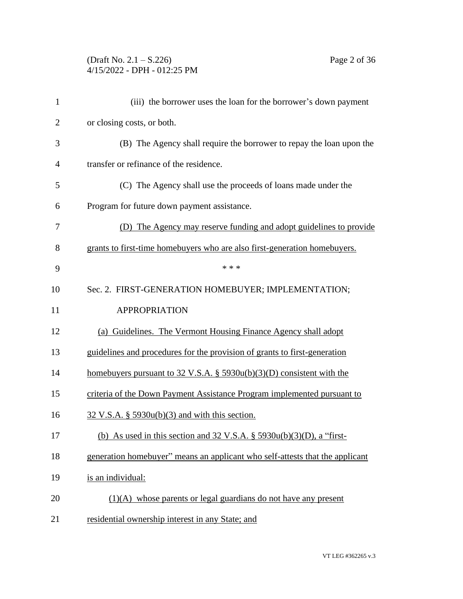## (Draft No. 2.1 – S.226) Page 2 of 36 4/15/2022 - DPH - 012:25 PM

| $\mathbf{1}$   | (iii) the borrower uses the loan for the borrower's down payment                   |
|----------------|------------------------------------------------------------------------------------|
| $\overline{2}$ | or closing costs, or both.                                                         |
| 3              | (B) The Agency shall require the borrower to repay the loan upon the               |
| $\overline{4}$ | transfer or refinance of the residence.                                            |
| 5              | (C) The Agency shall use the proceeds of loans made under the                      |
| 6              | Program for future down payment assistance.                                        |
| 7              | (D) The Agency may reserve funding and adopt guidelines to provide                 |
| 8              | grants to first-time homebuyers who are also first-generation homebuyers.          |
| 9              | * * *                                                                              |
| 10             | Sec. 2. FIRST-GENERATION HOMEBUYER; IMPLEMENTATION;                                |
| 11             | <b>APPROPRIATION</b>                                                               |
| 12             | (a) Guidelines. The Vermont Housing Finance Agency shall adopt                     |
| 13             | guidelines and procedures for the provision of grants to first-generation          |
| 14             | homebuyers pursuant to $32 \text{ V.S.A. }$ § $5930u(b)(3)(D)$ consistent with the |
| 15             | criteria of the Down Payment Assistance Program implemented pursuant to            |
| 16             | $32 \text{ V.S.A. }$ § 5930 $u(b)(3)$ and with this section.                       |
| 17             | (b) As used in this section and $32 \text{ V.S.A.}$ § $5930u(b)(3)(D)$ , a "first- |
| 18             | generation homebuyer" means an applicant who self-attests that the applicant       |
| 19             | is an individual:                                                                  |
| 20             | $(1)(A)$ whose parents or legal guardians do not have any present                  |
| 21             | residential ownership interest in any State; and                                   |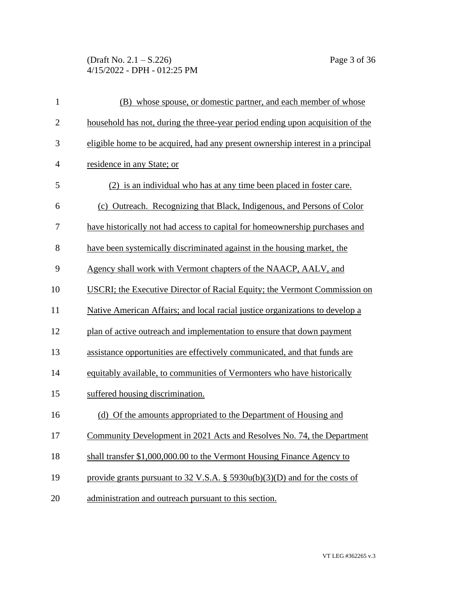## (Draft No. 2.1 – S.226) Page 3 of 36 4/15/2022 - DPH - 012:25 PM

| $\mathbf{1}$   | (B) whose spouse, or domestic partner, and each member of whose                 |
|----------------|---------------------------------------------------------------------------------|
| $\mathbf{2}$   | household has not, during the three-year period ending upon acquisition of the  |
| 3              | eligible home to be acquired, had any present ownership interest in a principal |
| $\overline{4}$ | residence in any State; or                                                      |
| 5              | (2) is an individual who has at any time been placed in foster care.            |
| 6              | (c) Outreach. Recognizing that Black, Indigenous, and Persons of Color          |
| 7              | have historically not had access to capital for homeownership purchases and     |
| 8              | have been systemically discriminated against in the housing market, the         |
| 9              | Agency shall work with Vermont chapters of the NAACP, AALV, and                 |
| 10             | USCRI; the Executive Director of Racial Equity; the Vermont Commission on       |
| 11             | Native American Affairs; and local racial justice organizations to develop a    |
| 12             | plan of active outreach and implementation to ensure that down payment          |
| 13             | assistance opportunities are effectively communicated, and that funds are       |
| 14             | equitably available, to communities of Vermonters who have historically         |
| 15             | suffered housing discrimination.                                                |
| 16             | (d) Of the amounts appropriated to the Department of Housing and                |
| 17             | Community Development in 2021 Acts and Resolves No. 74, the Department          |
| 18             | shall transfer \$1,000,000.00 to the Vermont Housing Finance Agency to          |
| 19             | provide grants pursuant to 32 V.S.A. § $5930u(b)(3)(D)$ and for the costs of    |
| 20             | administration and outreach pursuant to this section.                           |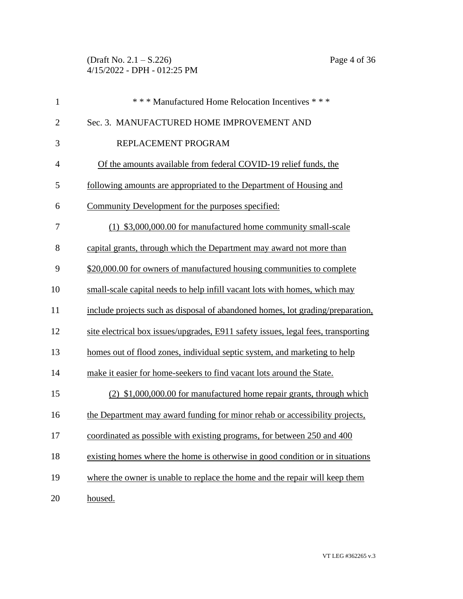(Draft No. 2.1 – S.226) Page 4 of 36 4/15/2022 - DPH - 012:25 PM

| $\mathbf{1}$   | *** Manufactured Home Relocation Incentives ***                                   |
|----------------|-----------------------------------------------------------------------------------|
| $\overline{2}$ | Sec. 3. MANUFACTURED HOME IMPROVEMENT AND                                         |
| 3              | REPLACEMENT PROGRAM                                                               |
| $\overline{4}$ | Of the amounts available from federal COVID-19 relief funds, the                  |
| 5              | following amounts are appropriated to the Department of Housing and               |
| 6              | Community Development for the purposes specified:                                 |
| 7              | (1) \$3,000,000.00 for manufactured home community small-scale                    |
| 8              | capital grants, through which the Department may award not more than              |
| 9              | \$20,000.00 for owners of manufactured housing communities to complete            |
| 10             | small-scale capital needs to help infill vacant lots with homes, which may        |
| 11             | include projects such as disposal of abandoned homes, lot grading/preparation,    |
| 12             | site electrical box issues/upgrades, E911 safety issues, legal fees, transporting |
| 13             | homes out of flood zones, individual septic system, and marketing to help         |
| 14             | make it easier for home-seekers to find vacant lots around the State.             |
| 15             | (2) \$1,000,000.00 for manufactured home repair grants, through which             |
| 16             | the Department may award funding for minor rehab or accessibility projects,       |
| 17             | coordinated as possible with existing programs, for between 250 and 400           |
| 18             | existing homes where the home is otherwise in good condition or in situations     |
| 19             | where the owner is unable to replace the home and the repair will keep them       |
| 20             | housed.                                                                           |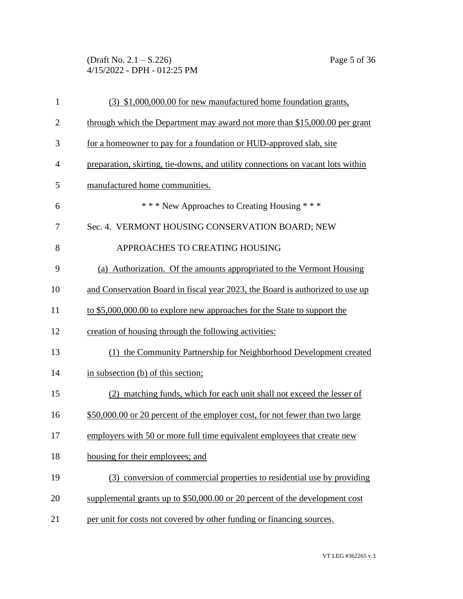(Draft No. 2.1 – S.226) Page 5 of 36 4/15/2022 - DPH - 012:25 PM

| $\mathbf{1}$   | (3) \$1,000,000.00 for new manufactured home foundation grants,                 |
|----------------|---------------------------------------------------------------------------------|
| $\overline{2}$ | through which the Department may award not more than \$15,000.00 per grant      |
| 3              | for a homeowner to pay for a foundation or HUD-approved slab, site              |
| $\overline{4}$ | preparation, skirting, tie-downs, and utility connections on vacant lots within |
| 5              | manufactured home communities.                                                  |
| 6              | *** New Approaches to Creating Housing ***                                      |
| 7              | Sec. 4. VERMONT HOUSING CONSERVATION BOARD; NEW                                 |
| 8              | APPROACHES TO CREATING HOUSING                                                  |
| 9              | (a) Authorization. Of the amounts appropriated to the Vermont Housing           |
| 10             | and Conservation Board in fiscal year 2023, the Board is authorized to use up   |
| 11             | to \$5,000,000.00 to explore new approaches for the State to support the        |
| 12             | creation of housing through the following activities:                           |
| 13             | (1) the Community Partnership for Neighborhood Development created              |
| 14             | in subsection (b) of this section;                                              |
| 15             | (2) matching funds, which for each unit shall not exceed the lesser of          |
| 16             | \$50,000.00 or 20 percent of the employer cost, for not fewer than two large    |
| 17             | employers with 50 or more full time equivalent employees that create new        |
| 18             | housing for their employees; and                                                |
| 19             | (3) conversion of commercial properties to residential use by providing         |
| 20             | supplemental grants up to \$50,000.00 or 20 percent of the development cost     |
| 21             | per unit for costs not covered by other funding or financing sources.           |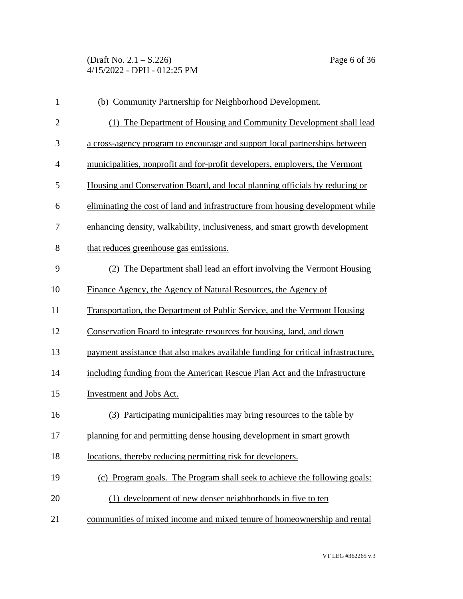(Draft No. 2.1 – S.226) Page 6 of 36 4/15/2022 - DPH - 012:25 PM

| $\mathbf{1}$   | (b) Community Partnership for Neighborhood Development.                           |
|----------------|-----------------------------------------------------------------------------------|
| $\overline{2}$ | (1) The Department of Housing and Community Development shall lead                |
| 3              | a cross-agency program to encourage and support local partnerships between        |
| $\overline{4}$ | municipalities, nonprofit and for-profit developers, employers, the Vermont       |
| 5              | Housing and Conservation Board, and local planning officials by reducing or       |
| 6              | eliminating the cost of land and infrastructure from housing development while    |
| 7              | enhancing density, walkability, inclusiveness, and smart growth development       |
| 8              | that reduces greenhouse gas emissions.                                            |
| 9              | (2) The Department shall lead an effort involving the Vermont Housing             |
| 10             | Finance Agency, the Agency of Natural Resources, the Agency of                    |
| 11             | Transportation, the Department of Public Service, and the Vermont Housing         |
| 12             | Conservation Board to integrate resources for housing, land, and down             |
| 13             | payment assistance that also makes available funding for critical infrastructure, |
| 14             | including funding from the American Rescue Plan Act and the Infrastructure        |
| 15             | Investment and Jobs Act.                                                          |
| 16             | (3) Participating municipalities may bring resources to the table by              |
| 17             | planning for and permitting dense housing development in smart growth             |
| 18             | locations, thereby reducing permitting risk for developers.                       |
| 19             | (c) Program goals. The Program shall seek to achieve the following goals:         |
| 20             | (1) development of new denser neighborhoods in five to ten                        |
| 21             | communities of mixed income and mixed tenure of homeownership and rental          |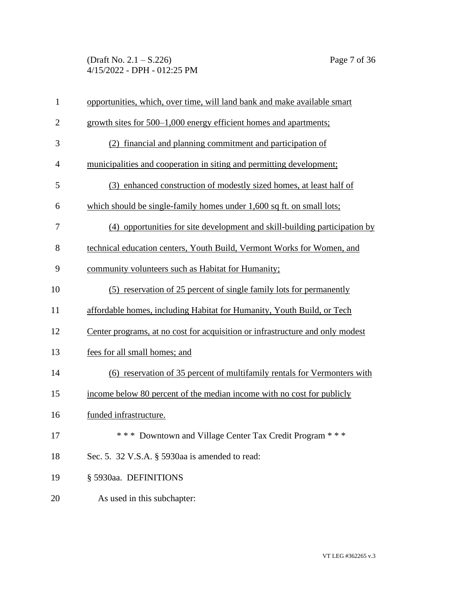(Draft No. 2.1 – S.226) Page 7 of 36 4/15/2022 - DPH - 012:25 PM

| $\mathbf{1}$   | opportunities, which, over time, will land bank and make available smart      |
|----------------|-------------------------------------------------------------------------------|
| $\overline{2}$ | growth sites for 500–1,000 energy efficient homes and apartments;             |
| 3              | (2) financial and planning commitment and participation of                    |
| $\overline{4}$ | municipalities and cooperation in siting and permitting development;          |
| 5              | (3) enhanced construction of modestly sized homes, at least half of           |
| 6              | which should be single-family homes under 1,600 sq ft. on small lots;         |
| 7              | (4) opportunities for site development and skill-building participation by    |
| 8              | technical education centers, Youth Build, Vermont Works for Women, and        |
| 9              | community volunteers such as Habitat for Humanity;                            |
| 10             | (5) reservation of 25 percent of single family lots for permanently           |
| 11             | affordable homes, including Habitat for Humanity, Youth Build, or Tech        |
| 12             | Center programs, at no cost for acquisition or infrastructure and only modest |
| 13             | fees for all small homes; and                                                 |
| 14             | (6) reservation of 35 percent of multifamily rentals for Vermonters with      |
| 15             | income below 80 percent of the median income with no cost for publicly        |
| 16             | funded infrastructure.                                                        |
| 17             | *** Downtown and Village Center Tax Credit Program ***                        |
| 18             | Sec. 5. 32 V.S.A. § 5930aa is amended to read:                                |
| 19             | § 5930aa. DEFINITIONS                                                         |
| 20             | As used in this subchapter:                                                   |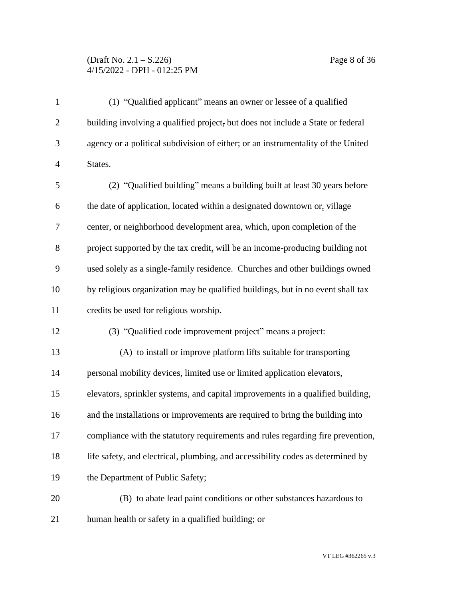## (Draft No. 2.1 – S.226) Page 8 of 36 4/15/2022 - DPH - 012:25 PM

| $\mathbf{1}$   | (1) "Qualified applicant" means an owner or lessee of a qualified                           |
|----------------|---------------------------------------------------------------------------------------------|
| $\overline{2}$ | building involving a qualified project, but does not include a State or federal             |
| 3              | agency or a political subdivision of either; or an instrumentality of the United            |
| $\overline{4}$ | States.                                                                                     |
| 5              | (2) "Qualified building" means a building built at least 30 years before                    |
| 6              | the date of application, located within a designated downtown $\Theta$ <sub>r</sub> village |
| 7              | center, <u>or neighborhood development area</u> , which, upon completion of the             |
| $8\,$          | project supported by the tax credit, will be an income-producing building not               |
| 9              | used solely as a single-family residence. Churches and other buildings owned                |
| 10             | by religious organization may be qualified buildings, but in no event shall tax             |
| 11             | credits be used for religious worship.                                                      |
| 12             | (3) "Qualified code improvement project" means a project:                                   |
| 13             | (A) to install or improve platform lifts suitable for transporting                          |
| 14             | personal mobility devices, limited use or limited application elevators,                    |
| 15             | elevators, sprinkler systems, and capital improvements in a qualified building,             |
| 16             | and the installations or improvements are required to bring the building into               |
| 17             | compliance with the statutory requirements and rules regarding fire prevention,             |
| 18             | life safety, and electrical, plumbing, and accessibility codes as determined by             |
| 19             | the Department of Public Safety;                                                            |
| 20             | (B) to abate lead paint conditions or other substances hazardous to                         |
| 21             | human health or safety in a qualified building; or                                          |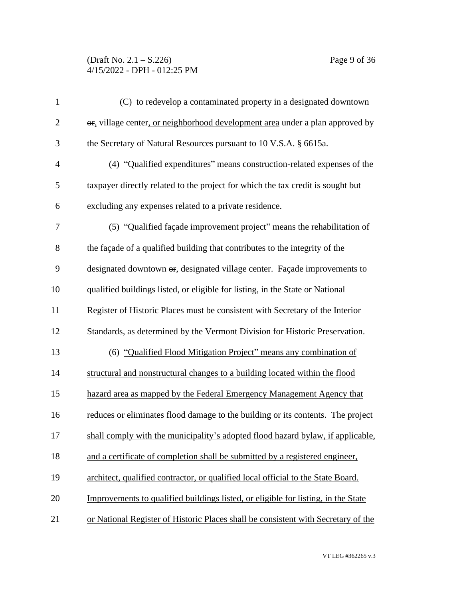## (Draft No. 2.1 – S.226) Page 9 of 36 4/15/2022 - DPH - 012:25 PM

| $\mathbf{1}$   | (C) to redevelop a contaminated property in a designated downtown                             |
|----------------|-----------------------------------------------------------------------------------------------|
| $\mathbf{2}$   | or, village center, or neighborhood development area under a plan approved by                 |
| 3              | the Secretary of Natural Resources pursuant to 10 V.S.A. § 6615a.                             |
| $\overline{4}$ | (4) "Qualified expenditures" means construction-related expenses of the                       |
| 5              | taxpayer directly related to the project for which the tax credit is sought but               |
| 6              | excluding any expenses related to a private residence.                                        |
| $\tau$         | (5) "Qualified façade improvement project" means the rehabilitation of                        |
| $8\,$          | the façade of a qualified building that contributes to the integrity of the                   |
| 9              | designated downtown $\Theta$ <sub>r</sub> , designated village center. Façade improvements to |
| 10             | qualified buildings listed, or eligible for listing, in the State or National                 |
| 11             | Register of Historic Places must be consistent with Secretary of the Interior                 |
| 12             | Standards, as determined by the Vermont Division for Historic Preservation.                   |
| 13             | (6) "Qualified Flood Mitigation Project" means any combination of                             |
| 14             | structural and nonstructural changes to a building located within the flood                   |
| 15             | hazard area as mapped by the Federal Emergency Management Agency that                         |
| 16             | reduces or eliminates flood damage to the building or its contents. The project               |
| 17             | shall comply with the municipality's adopted flood hazard bylaw, if applicable,               |
| 18             | and a certificate of completion shall be submitted by a registered engineer,                  |
| 19             | architect, qualified contractor, or qualified local official to the State Board.              |
| 20             | Improvements to qualified buildings listed, or eligible for listing, in the State             |
| 21             | or National Register of Historic Places shall be consistent with Secretary of the             |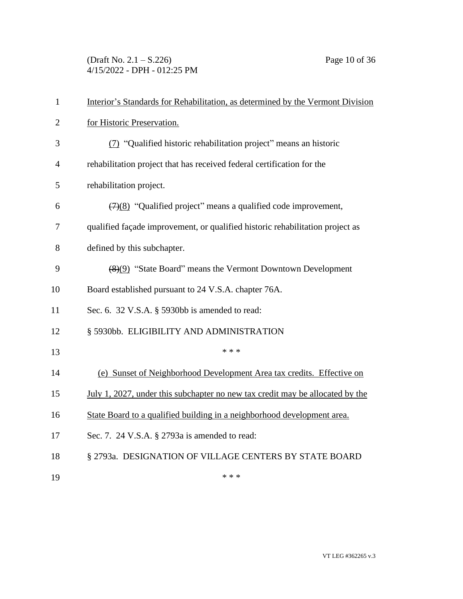(Draft No. 2.1 – S.226) Page 10 of 36 4/15/2022 - DPH - 012:25 PM

| $\mathbf{1}$   | Interior's Standards for Rehabilitation, as determined by the Vermont Division     |
|----------------|------------------------------------------------------------------------------------|
| $\overline{2}$ | for Historic Preservation.                                                         |
| 3              | (7) "Qualified historic rehabilitation project" means an historic                  |
| $\overline{4}$ | rehabilitation project that has received federal certification for the             |
| 5              | rehabilitation project.                                                            |
| 6              | $\left(\frac{7}{8}\right)$ "Qualified project" means a qualified code improvement, |
| 7              | qualified façade improvement, or qualified historic rehabilitation project as      |
| 8              | defined by this subchapter.                                                        |
| 9              | (8)(9) "State Board" means the Vermont Downtown Development                        |
| 10             | Board established pursuant to 24 V.S.A. chapter 76A.                               |
| 11             | Sec. 6. 32 V.S.A. § 5930bb is amended to read:                                     |
| 12             | § 5930bb. ELIGIBILITY AND ADMINISTRATION                                           |
| 13             | * * *                                                                              |
| 14             | (e) Sunset of Neighborhood Development Area tax credits. Effective on              |
| 15             | July 1, 2027, under this subchapter no new tax credit may be allocated by the      |
| 16             | State Board to a qualified building in a neighborhood development area.            |
| 17             | Sec. 7. 24 V.S.A. § 2793a is amended to read:                                      |
| 18             | § 2793a. DESIGNATION OF VILLAGE CENTERS BY STATE BOARD                             |
| 19             | * * *                                                                              |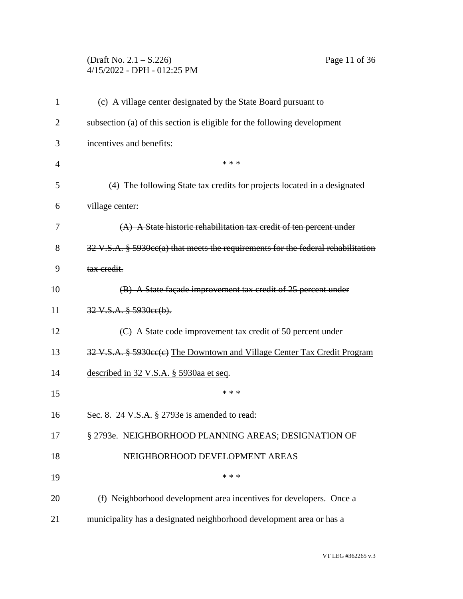# (Draft No. 2.1 – S.226) Page 11 of 36 4/15/2022 - DPH - 012:25 PM

| $\mathbf{1}$   | (c) A village center designated by the State Board pursuant to                                        |
|----------------|-------------------------------------------------------------------------------------------------------|
| $\overline{2}$ | subsection (a) of this section is eligible for the following development                              |
| 3              | incentives and benefits:                                                                              |
| $\overline{4}$ | * * *                                                                                                 |
| 5              | (4) The following State tax credits for projects located in a designated                              |
| 6              | village center:                                                                                       |
| 7              | $(A)$ A State historic rehabilitation tax credit of ten percent under                                 |
| 8              | $32 \text{ V.S.A. }$ § 5930 $\text{cc}(a)$ that meets the requirements for the federal rehabilitation |
| 9              | tax credit.                                                                                           |
| 10             | (B) A State façade improvement tax credit of 25 percent under                                         |
| 11             | 32 V.S.A. § 5930ee(b).                                                                                |
| 12             | (C) A State code improvement tax credit of 50 percent under                                           |
| 13             | 32 V.S.A. § 5930cc(c) The Downtown and Village Center Tax Credit Program                              |
| 14             | described in 32 V.S.A. § 5930aa et seq.                                                               |
| 15             | * * *                                                                                                 |
| 16             | Sec. 8. 24 V.S.A. § 2793e is amended to read:                                                         |
| 17             | § 2793e. NEIGHBORHOOD PLANNING AREAS; DESIGNATION OF                                                  |
| 18             | NEIGHBORHOOD DEVELOPMENT AREAS                                                                        |
| 19             | * * *                                                                                                 |
| 20             | (f) Neighborhood development area incentives for developers. Once a                                   |
| 21             | municipality has a designated neighborhood development area or has a                                  |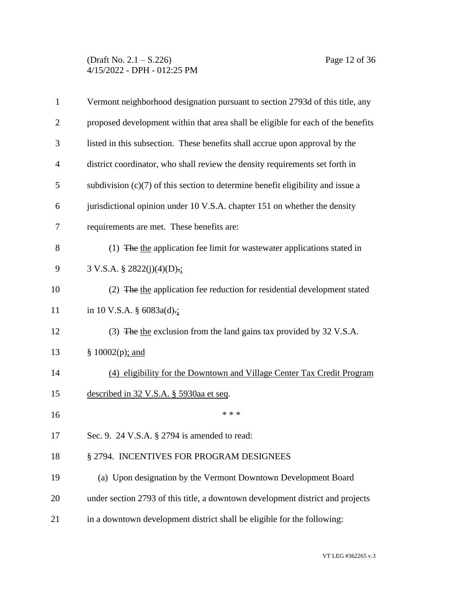### (Draft No. 2.1 – S.226) Page 12 of 36 4/15/2022 - DPH - 012:25 PM

| $\mathbf{1}$   | Vermont neighborhood designation pursuant to section 2793d of this title, any     |
|----------------|-----------------------------------------------------------------------------------|
| $\overline{2}$ | proposed development within that area shall be eligible for each of the benefits  |
| 3              | listed in this subsection. These benefits shall accrue upon approval by the       |
| $\overline{4}$ | district coordinator, who shall review the density requirements set forth in      |
| 5              | subdivision $(c)(7)$ of this section to determine benefit eligibility and issue a |
| 6              | jurisdictional opinion under 10 V.S.A. chapter 151 on whether the density         |
| 7              | requirements are met. These benefits are:                                         |
| 8              | (1) The the application fee limit for wastewater applications stated in           |
| 9              | $3 \text{ V.S.A. } § 2822(j)(4)(D):$ ;                                            |
| 10             | (2) The the application fee reduction for residential development stated          |
| 11             | in 10 V.S.A. $\S$ 6083a(d).;                                                      |
| 12             | (3) The the exclusion from the land gains tax provided by 32 V.S.A.               |
| 13             | § $10002(p)$ ; and                                                                |
| 14             | (4) eligibility for the Downtown and Village Center Tax Credit Program            |
| 15             | described in 32 V.S.A. § 5930aa et seq.                                           |
| 16             | * * *                                                                             |
| 17             | Sec. 9. 24 V.S.A. § 2794 is amended to read:                                      |
| 18             | § 2794. INCENTIVES FOR PROGRAM DESIGNEES                                          |
| 19             | (a) Upon designation by the Vermont Downtown Development Board                    |
| 20             | under section 2793 of this title, a downtown development district and projects    |
| 21             | in a downtown development district shall be eligible for the following:           |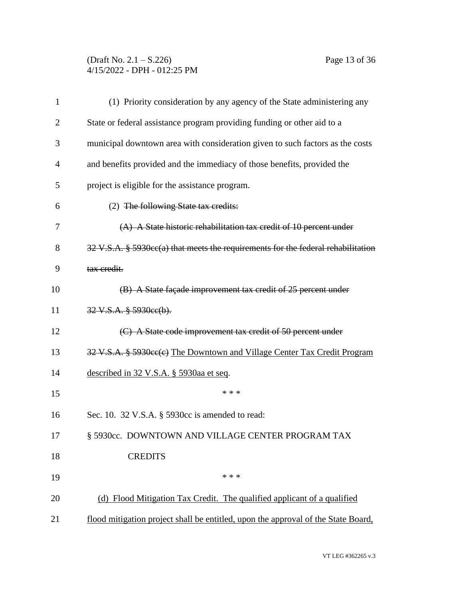## (Draft No. 2.1 – S.226) Page 13 of 36 4/15/2022 - DPH - 012:25 PM

| 1              | (1) Priority consideration by any agency of the State administering any                      |
|----------------|----------------------------------------------------------------------------------------------|
| $\overline{2}$ | State or federal assistance program providing funding or other aid to a                      |
| 3              | municipal downtown area with consideration given to such factors as the costs                |
| 4              | and benefits provided and the immediacy of those benefits, provided the                      |
| 5              | project is eligible for the assistance program.                                              |
| 6              | (2) The following State tax credits:                                                         |
| 7              | (A) A State historic rehabilitation tax credit of 10 percent under                           |
| 8              | $32$ V.S.A. § 5930 $\text{cc}(a)$ that meets the requirements for the federal rehabilitation |
| 9              | tax credit.                                                                                  |
| 10             | (B) A State façade improvement tax credit of 25 percent under                                |
| 11             | $32 \text{ V.S.A. }$ $\frac{8}{3}$ 5930ee(b).                                                |
| 12             | (C) A State code improvement tax credit of 50 percent under                                  |
| 13             | 32 V.S.A. § 5930cc(c) The Downtown and Village Center Tax Credit Program                     |
| 14             | described in 32 V.S.A. § 5930aa et seq.                                                      |
| 15             | * * *                                                                                        |
| 16             | Sec. 10. 32 V.S.A. § 5930cc is amended to read:                                              |
| 17             | § 5930cc. DOWNTOWN AND VILLAGE CENTER PROGRAM TAX                                            |
| 18             | <b>CREDITS</b>                                                                               |
| 19             | * * *                                                                                        |
| 20             | (d) Flood Mitigation Tax Credit. The qualified applicant of a qualified                      |
| 21             | flood mitigation project shall be entitled, upon the approval of the State Board,            |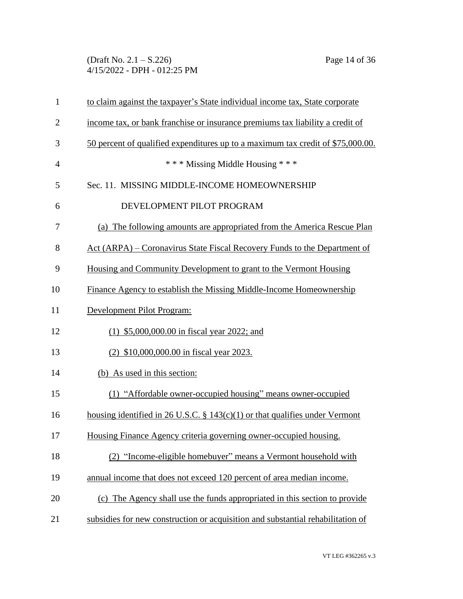(Draft No. 2.1 – S.226) Page 14 of 36 4/15/2022 - DPH - 012:25 PM

| $\mathbf{1}$   | to claim against the taxpayer's State individual income tax, State corporate    |
|----------------|---------------------------------------------------------------------------------|
| $\overline{2}$ | income tax, or bank franchise or insurance premiums tax liability a credit of   |
| 3              | 50 percent of qualified expenditures up to a maximum tax credit of \$75,000.00. |
| $\overline{4}$ | *** Missing Middle Housing ***                                                  |
| 5              | Sec. 11. MISSING MIDDLE-INCOME HOMEOWNERSHIP                                    |
| 6              | DEVELOPMENT PILOT PROGRAM                                                       |
| 7              | (a) The following amounts are appropriated from the America Rescue Plan         |
| 8              | Act (ARPA) – Coronavirus State Fiscal Recovery Funds to the Department of       |
| 9              | Housing and Community Development to grant to the Vermont Housing               |
| 10             | Finance Agency to establish the Missing Middle-Income Homeownership             |
| 11             | Development Pilot Program:                                                      |
| 12             | $(1)$ \$5,000,000.00 in fiscal year 2022; and                                   |
| 13             | (2) \$10,000,000.00 in fiscal year 2023.                                        |
| 14             | (b) As used in this section:                                                    |
| 15             | (1) "Affordable owner-occupied housing" means owner-occupied                    |
| 16             | housing identified in 26 U.S.C. $\S$ 143(c)(1) or that qualifies under Vermont  |
| 17             | Housing Finance Agency criteria governing owner-occupied housing.               |
| 18             | (2) "Income-eligible homebuyer" means a Vermont household with                  |
| 19             | annual income that does not exceed 120 percent of area median income.           |
| 20             | (c) The Agency shall use the funds appropriated in this section to provide      |
| 21             | subsidies for new construction or acquisition and substantial rehabilitation of |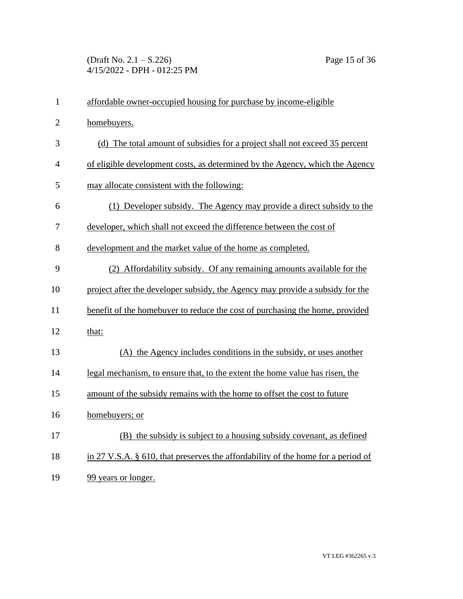(Draft No. 2.1 – S.226) Page 15 of 36 4/15/2022 - DPH - 012:25 PM

| $\mathbf{1}$   | affordable owner-occupied housing for purchase by income-eligible                   |
|----------------|-------------------------------------------------------------------------------------|
| $\overline{2}$ | homebuyers.                                                                         |
| 3              | (d) The total amount of subsidies for a project shall not exceed 35 percent         |
| $\overline{4}$ | of eligible development costs, as determined by the Agency, which the Agency        |
| 5              | may allocate consistent with the following:                                         |
| 6              | (1) Developer subsidy. The Agency may provide a direct subsidy to the               |
| 7              | developer, which shall not exceed the difference between the cost of                |
| 8              | development and the market value of the home as completed.                          |
| 9              | (2) Affordability subsidy. Of any remaining amounts available for the               |
| 10             | project after the developer subsidy, the Agency may provide a subsidy for the       |
| 11             | benefit of the homebuyer to reduce the cost of purchasing the home, provided        |
| 12             | that:                                                                               |
| 13             | (A) the Agency includes conditions in the subsidy, or uses another                  |
| 14             | legal mechanism, to ensure that, to the extent the home value has risen, the        |
| 15             | amount of the subsidy remains with the home to offset the cost to future            |
| 16             | homebuyers; or                                                                      |
| 17             | (B) the subsidy is subject to a housing subsidy covenant, as defined                |
| 18             | in 27 V.S.A. $\S$ 610, that preserves the affordability of the home for a period of |
| 19             | 99 years or longer.                                                                 |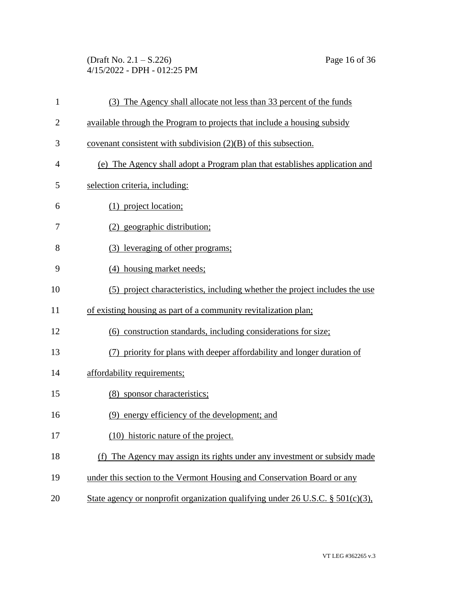(Draft No. 2.1 – S.226) Page 16 of 36 4/15/2022 - DPH - 012:25 PM

| $\mathbf{1}$   | (3) The Agency shall allocate not less than 33 percent of the funds               |
|----------------|-----------------------------------------------------------------------------------|
| $\overline{2}$ | available through the Program to projects that include a housing subsidy          |
| 3              | covenant consistent with subdivision $(2)(B)$ of this subsection.                 |
| $\overline{4}$ | (e) The Agency shall adopt a Program plan that establishes application and        |
| 5              | selection criteria, including:                                                    |
| 6              | (1) project location;                                                             |
| 7              | (2) geographic distribution;                                                      |
| 8              | (3) leveraging of other programs;                                                 |
| 9              | (4) housing market needs;                                                         |
| 10             | (5) project characteristics, including whether the project includes the use       |
| 11             | of existing housing as part of a community revitalization plan;                   |
| 12             | (6) construction standards, including considerations for size;                    |
| 13             | (7) priority for plans with deeper affordability and longer duration of           |
| 14             | affordability requirements;                                                       |
| 15             | (8) sponsor characteristics;                                                      |
| 16             | (9) energy efficiency of the development; and                                     |
| 17             | (10) historic nature of the project.                                              |
| 18             | (f) The Agency may assign its rights under any investment or subsidy made         |
| 19             | under this section to the Vermont Housing and Conservation Board or any           |
| 20             | State agency or nonprofit organization qualifying under 26 U.S.C. $\S$ 501(c)(3), |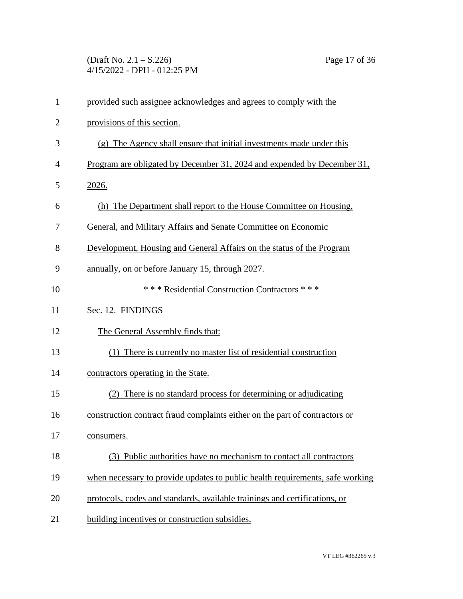(Draft No. 2.1 – S.226) Page 17 of 36 4/15/2022 - DPH - 012:25 PM

| $\mathbf{1}$   | provided such assignee acknowledges and agrees to comply with the             |
|----------------|-------------------------------------------------------------------------------|
| $\overline{2}$ | provisions of this section.                                                   |
| 3              | (g) The Agency shall ensure that initial investments made under this          |
| $\overline{4}$ | Program are obligated by December 31, 2024 and expended by December 31,       |
| 5              | 2026.                                                                         |
| 6              | (h) The Department shall report to the House Committee on Housing,            |
| 7              | General, and Military Affairs and Senate Committee on Economic                |
| 8              | Development, Housing and General Affairs on the status of the Program         |
| 9              | annually, on or before January 15, through 2027.                              |
| 10             | *** Residential Construction Contractors ***                                  |
| 11             | Sec. 12. FINDINGS                                                             |
| 12             | The General Assembly finds that:                                              |
| 13             | (1) There is currently no master list of residential construction             |
| 14             | contractors operating in the State.                                           |
| 15             | (2) There is no standard process for determining or adjudicating              |
| 16             | construction contract fraud complaints either on the part of contractors or   |
| 17             | consumers.                                                                    |
| 18             | (3) Public authorities have no mechanism to contact all contractors           |
| 19             | when necessary to provide updates to public health requirements, safe working |
| 20             | protocols, codes and standards, available trainings and certifications, or    |
| 21             | building incentives or construction subsidies.                                |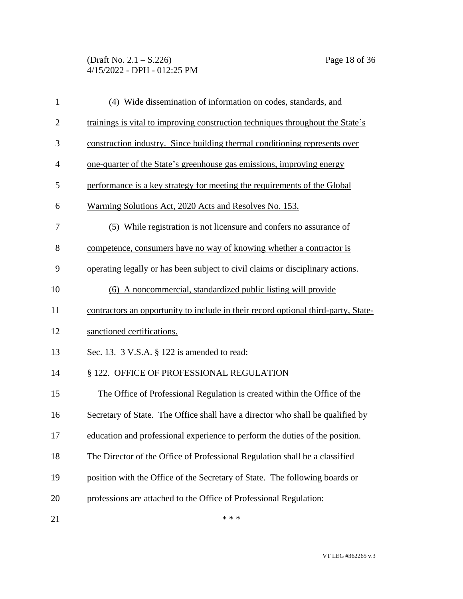(Draft No. 2.1 – S.226) Page 18 of 36 4/15/2022 - DPH - 012:25 PM

| $\mathbf{1}$   | (4) Wide dissemination of information on codes, standards, and                     |
|----------------|------------------------------------------------------------------------------------|
| $\overline{2}$ | trainings is vital to improving construction techniques throughout the State's     |
| 3              | construction industry. Since building thermal conditioning represents over         |
| $\overline{4}$ | one-quarter of the State's greenhouse gas emissions, improving energy              |
| 5              | performance is a key strategy for meeting the requirements of the Global           |
| 6              | Warming Solutions Act, 2020 Acts and Resolves No. 153.                             |
| 7              | (5) While registration is not licensure and confers no assurance of                |
| 8              | competence, consumers have no way of knowing whether a contractor is               |
| 9              | operating legally or has been subject to civil claims or disciplinary actions.     |
| 10             | (6) A noncommercial, standardized public listing will provide                      |
| 11             | contractors an opportunity to include in their record optional third-party, State- |
| 12             | sanctioned certifications.                                                         |
| 13             | Sec. 13. 3 V.S.A. § 122 is amended to read:                                        |
| 14             | § 122. OFFICE OF PROFESSIONAL REGULATION                                           |
| 15             | The Office of Professional Regulation is created within the Office of the          |
| 16             | Secretary of State. The Office shall have a director who shall be qualified by     |
| 17             | education and professional experience to perform the duties of the position.       |
| 18             | The Director of the Office of Professional Regulation shall be a classified        |
| 19             | position with the Office of the Secretary of State. The following boards or        |
| 20             | professions are attached to the Office of Professional Regulation:                 |
|                |                                                                                    |

21  $***$ 

VT LEG #362265 v.3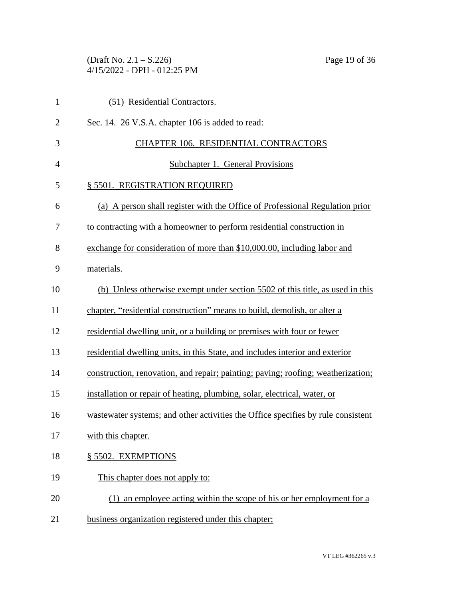(Draft No. 2.1 – S.226) Page 19 of 36 4/15/2022 - DPH - 012:25 PM

| $\mathbf{1}$   | (51) Residential Contractors.                                                    |
|----------------|----------------------------------------------------------------------------------|
| $\overline{2}$ | Sec. 14. 26 V.S.A. chapter 106 is added to read:                                 |
| 3              | CHAPTER 106. RESIDENTIAL CONTRACTORS                                             |
| $\overline{4}$ | <b>Subchapter 1. General Provisions</b>                                          |
| 5              | § 5501. REGISTRATION REQUIRED                                                    |
| 6              | (a) A person shall register with the Office of Professional Regulation prior     |
| 7              | to contracting with a homeowner to perform residential construction in           |
| 8              | exchange for consideration of more than \$10,000.00, including labor and         |
| 9              | materials.                                                                       |
| 10             | (b) Unless otherwise exempt under section 5502 of this title, as used in this    |
| 11             | chapter, "residential construction" means to build, demolish, or alter a         |
| 12             | residential dwelling unit, or a building or premises with four or fewer          |
| 13             | residential dwelling units, in this State, and includes interior and exterior    |
| 14             | construction, renovation, and repair; painting; paving; roofing; weatherization; |
| 15             | installation or repair of heating, plumbing, solar, electrical, water, or        |
| 16             | wastewater systems; and other activities the Office specifies by rule consistent |
| 17             | with this chapter.                                                               |
| 18             | § 5502. EXEMPTIONS                                                               |
| 19             | This chapter does not apply to:                                                  |
| 20             | (1) an employee acting within the scope of his or her employment for a           |
| 21             | business organization registered under this chapter;                             |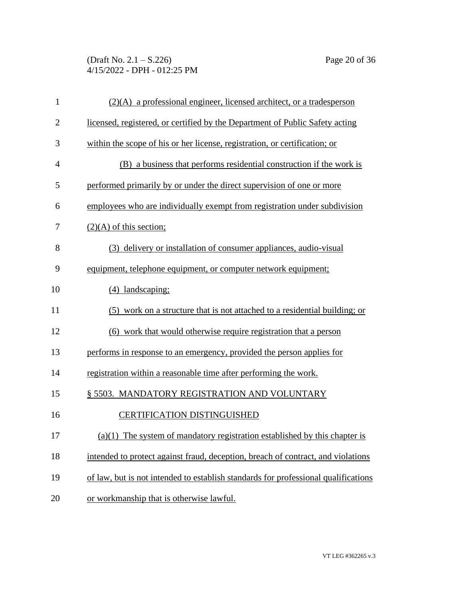(Draft No. 2.1 – S.226) Page 20 of 36 4/15/2022 - DPH - 012:25 PM

| $\mathbf{1}$   | $(2)(A)$ a professional engineer, licensed architect, or a tradesperson            |
|----------------|------------------------------------------------------------------------------------|
| $\overline{c}$ | licensed, registered, or certified by the Department of Public Safety acting       |
| 3              | within the scope of his or her license, registration, or certification; or         |
| 4              | (B) a business that performs residential construction if the work is               |
| 5              | performed primarily by or under the direct supervision of one or more              |
| 6              | employees who are individually exempt from registration under subdivision          |
| 7              | $(2)(A)$ of this section;                                                          |
| 8              | (3) delivery or installation of consumer appliances, audio-visual                  |
| 9              | equipment, telephone equipment, or computer network equipment;                     |
| 10             | (4) landscaping;                                                                   |
| 11             | (5) work on a structure that is not attached to a residential building; or         |
| 12             | (6) work that would otherwise require registration that a person                   |
| 13             | performs in response to an emergency, provided the person applies for              |
| 14             | registration within a reasonable time after performing the work.                   |
| 15             | § 5503. MANDATORY REGISTRATION AND VOLUNTARY                                       |
| 16             | <b>CERTIFICATION DISTINGUISHED</b>                                                 |
| 17             | $(a)(1)$ The system of mandatory registration established by this chapter is       |
| 18             | intended to protect against fraud, deception, breach of contract, and violations   |
| 19             | of law, but is not intended to establish standards for professional qualifications |
| 20             | or workmanship that is otherwise lawful.                                           |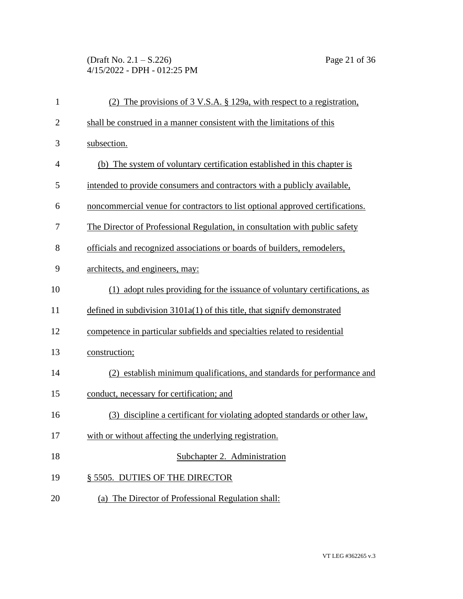# (Draft No. 2.1 – S.226) Page 21 of 36 4/15/2022 - DPH - 012:25 PM

| $\mathbf{1}$   | (2) The provisions of 3 V.S.A. § 129a, with respect to a registration,        |
|----------------|-------------------------------------------------------------------------------|
| $\overline{2}$ | shall be construed in a manner consistent with the limitations of this        |
| 3              | subsection.                                                                   |
| $\overline{4}$ | (b) The system of voluntary certification established in this chapter is      |
| 5              | intended to provide consumers and contractors with a publicly available,      |
| 6              | noncommercial venue for contractors to list optional approved certifications. |
| 7              | The Director of Professional Regulation, in consultation with public safety   |
| 8              | officials and recognized associations or boards of builders, remodelers,      |
| 9              | architects, and engineers, may:                                               |
| 10             | (1) adopt rules providing for the issuance of voluntary certifications, as    |
| 11             | defined in subdivision $3101a(1)$ of this title, that signify demonstrated    |
| 12             | competence in particular subfields and specialties related to residential     |
| 13             | construction;                                                                 |
| 14             | (2) establish minimum qualifications, and standards for performance and       |
| 15             | conduct, necessary for certification; and                                     |
| 16             | discipline a certificant for violating adopted standards or other law,<br>(3) |
| 17             | with or without affecting the underlying registration.                        |
| 18             | Subchapter 2. Administration                                                  |
| 19             | § 5505. DUTIES OF THE DIRECTOR                                                |
| 20             | (a) The Director of Professional Regulation shall:                            |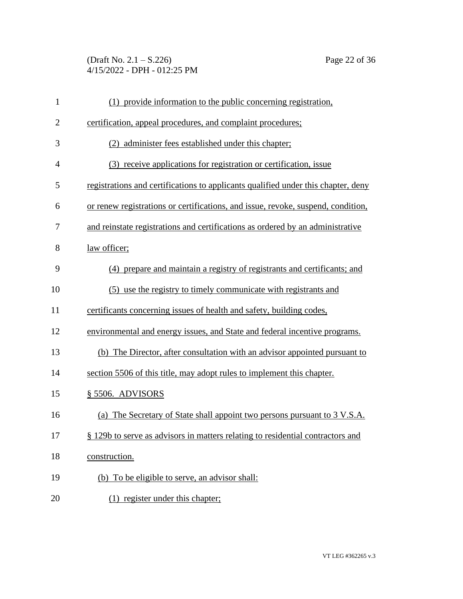(Draft No. 2.1 – S.226) Page 22 of 36 4/15/2022 - DPH - 012:25 PM

| $\mathbf{1}$   | (1) provide information to the public concerning registration,                    |
|----------------|-----------------------------------------------------------------------------------|
| $\overline{2}$ | certification, appeal procedures, and complaint procedures;                       |
| 3              | (2) administer fees established under this chapter;                               |
| $\overline{4}$ | (3) receive applications for registration or certification, issue                 |
| 5              | registrations and certifications to applicants qualified under this chapter, deny |
| 6              | or renew registrations or certifications, and issue, revoke, suspend, condition,  |
| 7              | and reinstate registrations and certifications as ordered by an administrative    |
| 8              | law officer;                                                                      |
| 9              | (4) prepare and maintain a registry of registrants and certificants; and          |
| 10             | (5) use the registry to timely communicate with registrants and                   |
| 11             | certificants concerning issues of health and safety, building codes,              |
| 12             | environmental and energy issues, and State and federal incentive programs.        |
| 13             | (b) The Director, after consultation with an advisor appointed pursuant to        |
| 14             | section 5506 of this title, may adopt rules to implement this chapter.            |
| 15             | § 5506. ADVISORS                                                                  |
| 16             | (a) The Secretary of State shall appoint two persons pursuant to 3 V.S.A.         |
| 17             | § 129b to serve as advisors in matters relating to residential contractors and    |
| 18             | construction.                                                                     |
| 19             | (b) To be eligible to serve, an advisor shall:                                    |
| 20             | (1) register under this chapter;                                                  |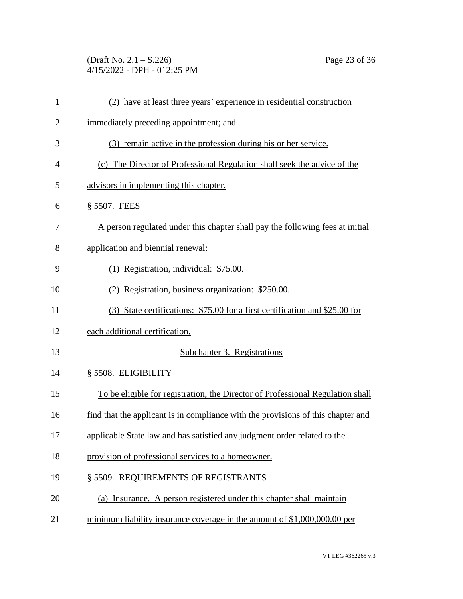(Draft No. 2.1 – S.226) Page 23 of 36 4/15/2022 - DPH - 012:25 PM

| $\mathbf{1}$   | (2) have at least three years' experience in residential construction            |
|----------------|----------------------------------------------------------------------------------|
| $\overline{2}$ | immediately preceding appointment; and                                           |
| 3              | (3) remain active in the profession during his or her service.                   |
| $\overline{4}$ | (c) The Director of Professional Regulation shall seek the advice of the         |
| 5              | advisors in implementing this chapter.                                           |
| 6              | § 5507. FEES                                                                     |
| 7              | A person regulated under this chapter shall pay the following fees at initial    |
| 8              | application and biennial renewal:                                                |
| 9              | (1) Registration, individual: \$75.00.                                           |
| 10             | Registration, business organization: \$250.00.<br>(2)                            |
| 11             | (3) State certifications: \$75.00 for a first certification and \$25.00 for      |
| 12             | each additional certification.                                                   |
| 13             | Subchapter 3. Registrations                                                      |
| 14             | § 5508. ELIGIBILITY                                                              |
| 15             | To be eligible for registration, the Director of Professional Regulation shall   |
| 16             | find that the applicant is in compliance with the provisions of this chapter and |
| 17             | applicable State law and has satisfied any judgment order related to the         |
| 18             | provision of professional services to a homeowner.                               |
| 19             | § 5509. REQUIREMENTS OF REGISTRANTS                                              |
| 20             | (a) Insurance. A person registered under this chapter shall maintain             |
| 21             | minimum liability insurance coverage in the amount of \$1,000,000.00 per         |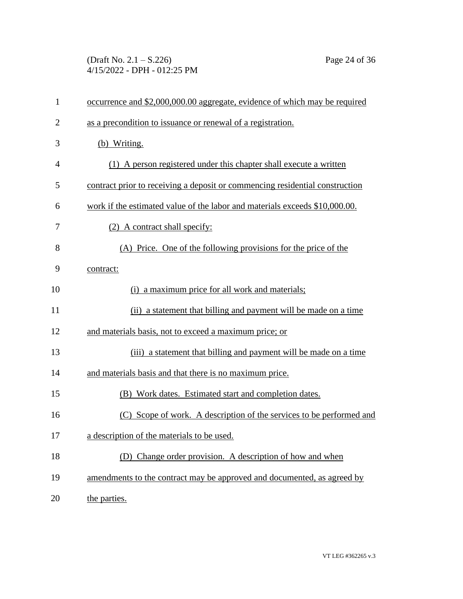(Draft No. 2.1 – S.226) Page 24 of 36 4/15/2022 - DPH - 012:25 PM

| $\mathbf{1}$   | occurrence and \$2,000,000.00 aggregate, evidence of which may be required   |
|----------------|------------------------------------------------------------------------------|
| $\overline{2}$ | as a precondition to issuance or renewal of a registration.                  |
| 3              | (b) Writing.                                                                 |
| $\overline{4}$ | (1) A person registered under this chapter shall execute a written           |
| 5              | contract prior to receiving a deposit or commencing residential construction |
| 6              | work if the estimated value of the labor and materials exceeds \$10,000.00.  |
| 7              | (2) A contract shall specify:                                                |
| 8              | (A) Price. One of the following provisions for the price of the              |
| 9              | contract:                                                                    |
| 10             | a maximum price for all work and materials;<br>(i)                           |
| 11             | (ii) a statement that billing and payment will be made on a time             |
| 12             | and materials basis, not to exceed a maximum price; or                       |
| 13             | (iii) a statement that billing and payment will be made on a time            |
| 14             | and materials basis and that there is no maximum price.                      |
| 15             | (B) Work dates. Estimated start and completion dates.                        |
| 16             | (C) Scope of work. A description of the services to be performed and         |
| 17             | a description of the materials to be used.                                   |
| 18             | (D) Change order provision. A description of how and when                    |
| 19             | amendments to the contract may be approved and documented, as agreed by      |
| 20             | the parties.                                                                 |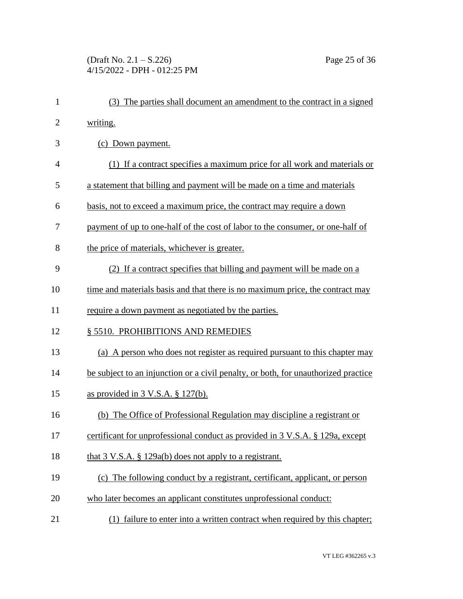| $\mathbf{1}$   | (3) The parties shall document an amendment to the contract in a signed            |  |  |
|----------------|------------------------------------------------------------------------------------|--|--|
| $\overline{2}$ | writing.                                                                           |  |  |
| 3              | (c) Down payment.                                                                  |  |  |
| $\overline{4}$ | (1) If a contract specifies a maximum price for all work and materials or          |  |  |
| 5              | a statement that billing and payment will be made on a time and materials          |  |  |
| 6              | basis, not to exceed a maximum price, the contract may require a down              |  |  |
| 7              | payment of up to one-half of the cost of labor to the consumer, or one-half of     |  |  |
| 8              | the price of materials, whichever is greater.                                      |  |  |
| 9              | (2) If a contract specifies that billing and payment will be made on a             |  |  |
| 10             | time and materials basis and that there is no maximum price, the contract may      |  |  |
| 11             | require a down payment as negotiated by the parties.                               |  |  |
| 12             | § 5510. PROHIBITIONS AND REMEDIES                                                  |  |  |
| 13             | (a) A person who does not register as required pursuant to this chapter may        |  |  |
| 14             | be subject to an injunction or a civil penalty, or both, for unauthorized practice |  |  |
| 15             | as provided in $3 \text{ V.S.A.} \$ $\frac{127(b)}{20}$ .                          |  |  |
| 16             | (b) The Office of Professional Regulation may discipline a registrant or           |  |  |
| 17             | certificant for unprofessional conduct as provided in 3 V.S.A. § 129a, except      |  |  |
| 18             | that $3 \text{ V.S.A. }$ $\S$ 129a(b) does not apply to a registrant.              |  |  |
| 19             | (c) The following conduct by a registrant, certificant, applicant, or person       |  |  |
| 20             | who later becomes an applicant constitutes unprofessional conduct:                 |  |  |
| 21             | failure to enter into a written contract when required by this chapter;<br>(1)     |  |  |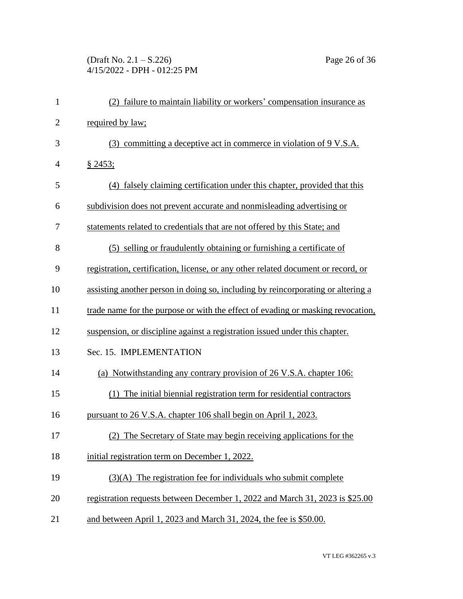# (Draft No. 2.1 – S.226) Page 26 of 36 4/15/2022 - DPH - 012:25 PM

| $\mathbf{1}$   | (2) failure to maintain liability or workers' compensation insurance as           |
|----------------|-----------------------------------------------------------------------------------|
| $\overline{2}$ | required by law;                                                                  |
| 3              | committing a deceptive act in commerce in violation of 9 V.S.A.<br>(3)            |
| $\overline{4}$ | § 2453;                                                                           |
| 5              | (4) falsely claiming certification under this chapter, provided that this         |
| 6              | subdivision does not prevent accurate and nonmisleading advertising or            |
| 7              | statements related to credentials that are not offered by this State; and         |
| 8              | (5) selling or fraudulently obtaining or furnishing a certificate of              |
| 9              | registration, certification, license, or any other related document or record, or |
| 10             | assisting another person in doing so, including by reincorporating or altering a  |
| 11             | trade name for the purpose or with the effect of evading or masking revocation,   |
| 12             | suspension, or discipline against a registration issued under this chapter.       |
| 13             | Sec. 15. IMPLEMENTATION                                                           |
| 14             | (a) Notwithstanding any contrary provision of 26 V.S.A. chapter 106:              |
| 15             | (1) The initial biennial registration term for residential contractors            |
| 16             | pursuant to 26 V.S.A. chapter 106 shall begin on April 1, 2023.                   |
| 17             | (2) The Secretary of State may begin receiving applications for the               |
| 18             | initial registration term on December 1, 2022.                                    |
| 19             | $(3)(A)$ The registration fee for individuals who submit complete                 |
| 20             | registration requests between December 1, 2022 and March 31, 2023 is \$25.00      |
| 21             | and between April 1, 2023 and March 31, 2024, the fee is \$50.00.                 |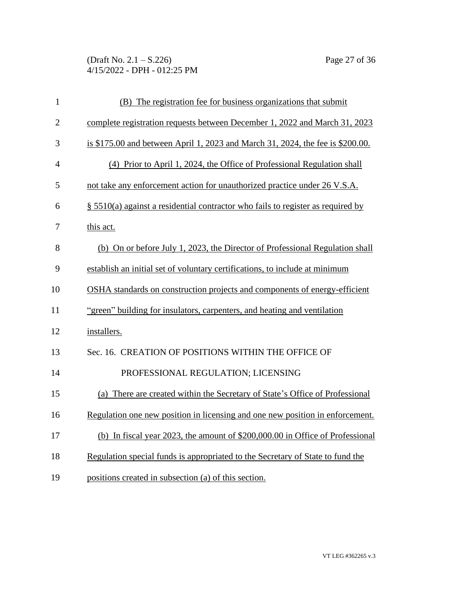(Draft No. 2.1 – S.226) Page 27 of 36 4/15/2022 - DPH - 012:25 PM

| $\mathbf{1}$   | (B) The registration fee for business organizations that submit                    |
|----------------|------------------------------------------------------------------------------------|
| $\overline{2}$ | complete registration requests between December 1, 2022 and March 31, 2023         |
| 3              | is \$175.00 and between April 1, 2023 and March 31, 2024, the fee is \$200.00.     |
| 4              | (4) Prior to April 1, 2024, the Office of Professional Regulation shall            |
| 5              | not take any enforcement action for unauthorized practice under 26 V.S.A.          |
| 6              | $\S$ 5510(a) against a residential contractor who fails to register as required by |
| 7              | this act.                                                                          |
| 8              | (b) On or before July 1, 2023, the Director of Professional Regulation shall       |
| 9              | establish an initial set of voluntary certifications, to include at minimum        |
| 10             | OSHA standards on construction projects and components of energy-efficient         |
| 11             | "green" building for insulators, carpenters, and heating and ventilation           |
| 12             | installers.                                                                        |
| 13             | Sec. 16. CREATION OF POSITIONS WITHIN THE OFFICE OF                                |
| 14             | PROFESSIONAL REGULATION; LICENSING                                                 |
| 15             | (a) There are created within the Secretary of State's Office of Professional       |
| 16             | Regulation one new position in licensing and one new position in enforcement.      |
| 17             | (b) In fiscal year 2023, the amount of \$200,000.00 in Office of Professional      |
| 18             | Regulation special funds is appropriated to the Secretary of State to fund the     |
| 19             | positions created in subsection (a) of this section.                               |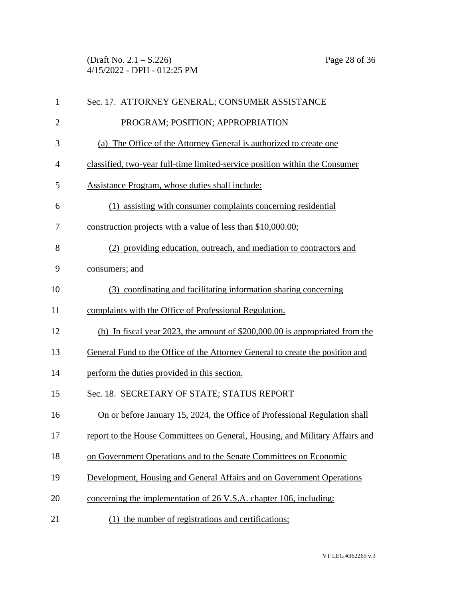(Draft No. 2.1 – S.226) Page 28 of 36 4/15/2022 - DPH - 012:25 PM

| $\mathbf{1}$ | Sec. 17. ATTORNEY GENERAL; CONSUMER ASSISTANCE                                |  |  |
|--------------|-------------------------------------------------------------------------------|--|--|
| $\mathbf{2}$ | PROGRAM; POSITION; APPROPRIATION                                              |  |  |
| 3            | (a) The Office of the Attorney General is authorized to create one            |  |  |
| 4            | classified, two-year full-time limited-service position within the Consumer   |  |  |
| 5            | Assistance Program, whose duties shall include:                               |  |  |
| 6            | (1) assisting with consumer complaints concerning residential                 |  |  |
| 7            | construction projects with a value of less than \$10,000.00;                  |  |  |
| 8            | (2) providing education, outreach, and mediation to contractors and           |  |  |
| 9            | consumers; and                                                                |  |  |
| 10           | (3) coordinating and facilitating information sharing concerning              |  |  |
| 11           | complaints with the Office of Professional Regulation.                        |  |  |
| 12           | (b) In fiscal year 2023, the amount of $$200,000.00$ is appropriated from the |  |  |
| 13           | General Fund to the Office of the Attorney General to create the position and |  |  |
| 14           | perform the duties provided in this section.                                  |  |  |
| 15           | Sec. 18. SECRETARY OF STATE; STATUS REPORT                                    |  |  |
| 16           | On or before January 15, 2024, the Office of Professional Regulation shall    |  |  |
| 17           | report to the House Committees on General, Housing, and Military Affairs and  |  |  |
| 18           | on Government Operations and to the Senate Committees on Economic             |  |  |
| 19           | Development, Housing and General Affairs and on Government Operations         |  |  |
| 20           | concerning the implementation of 26 V.S.A. chapter 106, including:            |  |  |
| 21           | the number of registrations and certifications;<br>(1)                        |  |  |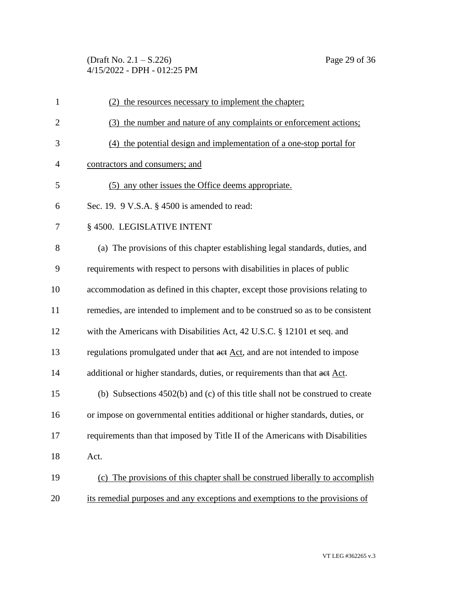(Draft No. 2.1 – S.226) Page 29 of 36 4/15/2022 - DPH - 012:25 PM

| $\mathbf{1}$   | (2) the resources necessary to implement the chapter;                          |  |  |
|----------------|--------------------------------------------------------------------------------|--|--|
| $\overline{2}$ | (3) the number and nature of any complaints or enforcement actions;            |  |  |
| 3              | (4) the potential design and implementation of a one-stop portal for           |  |  |
| $\overline{4}$ | contractors and consumers; and                                                 |  |  |
| 5              | (5) any other issues the Office deems appropriate.                             |  |  |
| 6              | Sec. 19. $9$ V.S.A. $\S$ 4500 is amended to read:                              |  |  |
| 7              | § 4500. LEGISLATIVE INTENT                                                     |  |  |
| 8              | (a) The provisions of this chapter establishing legal standards, duties, and   |  |  |
| 9              | requirements with respect to persons with disabilities in places of public     |  |  |
| 10             | accommodation as defined in this chapter, except those provisions relating to  |  |  |
| 11             | remedies, are intended to implement and to be construed so as to be consistent |  |  |
| 12             | with the Americans with Disabilities Act, 42 U.S.C. § 12101 et seq. and        |  |  |
| 13             | regulations promulgated under that act Act, and are not intended to impose     |  |  |
| 14             | additional or higher standards, duties, or requirements than that aet Act.     |  |  |
| 15             | (b) Subsections 4502(b) and (c) of this title shall not be construed to create |  |  |
| 16             | or impose on governmental entities additional or higher standards, duties, or  |  |  |
| 17             | requirements than that imposed by Title II of the Americans with Disabilities  |  |  |
| 18             | Act.                                                                           |  |  |
| 19             | (c) The provisions of this chapter shall be construed liberally to accomplish  |  |  |
| 20             | its remedial purposes and any exceptions and exemptions to the provisions of   |  |  |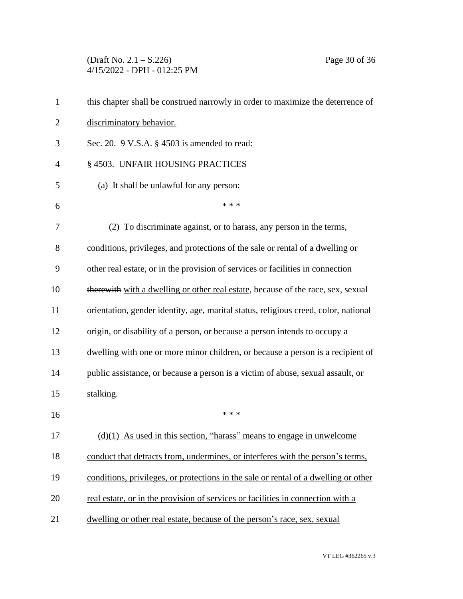(Draft No. 2.1 – S.226) Page 30 of 36 4/15/2022 - DPH - 012:25 PM

| $\mathbf{1}$   | this chapter shall be construed narrowly in order to maximize the deterrence of     |  |  |
|----------------|-------------------------------------------------------------------------------------|--|--|
| $\overline{2}$ | discriminatory behavior.                                                            |  |  |
| 3              | Sec. 20. 9 V.S.A. § 4503 is amended to read:                                        |  |  |
| 4              | § 4503. UNFAIR HOUSING PRACTICES                                                    |  |  |
| 5              | (a) It shall be unlawful for any person:                                            |  |  |
| 6              | * * *                                                                               |  |  |
| 7              | (2) To discriminate against, or to harass, any person in the terms,                 |  |  |
| 8              | conditions, privileges, and protections of the sale or rental of a dwelling or      |  |  |
| 9              | other real estate, or in the provision of services or facilities in connection      |  |  |
| 10             | therewith with a dwelling or other real estate, because of the race, sex, sexual    |  |  |
| 11             | orientation, gender identity, age, marital status, religious creed, color, national |  |  |
| 12             | origin, or disability of a person, or because a person intends to occupy a          |  |  |
| 13             | dwelling with one or more minor children, or because a person is a recipient of     |  |  |
| 14             | public assistance, or because a person is a victim of abuse, sexual assault, or     |  |  |
| 15             | stalking.                                                                           |  |  |
| 16             | * * *                                                                               |  |  |
| 17             | $(d)(1)$ As used in this section, "harass" means to engage in unwelcome             |  |  |
| 18             | conduct that detracts from, undermines, or interferes with the person's terms,      |  |  |
| 19             | conditions, privileges, or protections in the sale or rental of a dwelling or other |  |  |
| 20             | real estate, or in the provision of services or facilities in connection with a     |  |  |
| 21             | dwelling or other real estate, because of the person's race, sex, sexual            |  |  |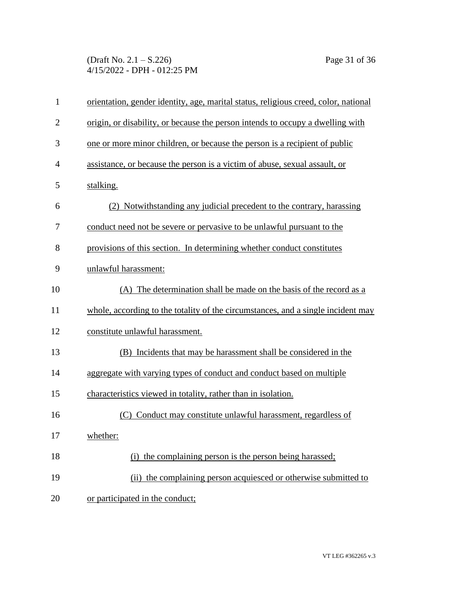(Draft No. 2.1 – S.226) Page 31 of 36 4/15/2022 - DPH - 012:25 PM

| $\mathbf{1}$   | orientation, gender identity, age, marital status, religious creed, color, national |
|----------------|-------------------------------------------------------------------------------------|
| $\overline{2}$ | origin, or disability, or because the person intends to occupy a dwelling with      |
| 3              | one or more minor children, or because the person is a recipient of public          |
| $\overline{4}$ | assistance, or because the person is a victim of abuse, sexual assault, or          |
| 5              | stalking.                                                                           |
| 6              | (2) Notwithstanding any judicial precedent to the contrary, harassing               |
| 7              | conduct need not be severe or pervasive to be unlawful pursuant to the              |
| 8              | provisions of this section. In determining whether conduct constitutes              |
| 9              | unlawful harassment:                                                                |
| 10             | (A) The determination shall be made on the basis of the record as a                 |
| 11             | whole, according to the totality of the circumstances, and a single incident may    |
| 12             | constitute unlawful harassment.                                                     |
| 13             | (B) Incidents that may be harassment shall be considered in the                     |
| 14             | aggregate with varying types of conduct and conduct based on multiple               |
| 15             | characteristics viewed in totality, rather than in isolation.                       |
| 16             | (C) Conduct may constitute unlawful harassment, regardless of                       |
| 17             | whether:                                                                            |
| 18             | (i) the complaining person is the person being harassed;                            |
| 19             | (ii) the complaining person acquiesced or otherwise submitted to                    |
| 20             | or participated in the conduct;                                                     |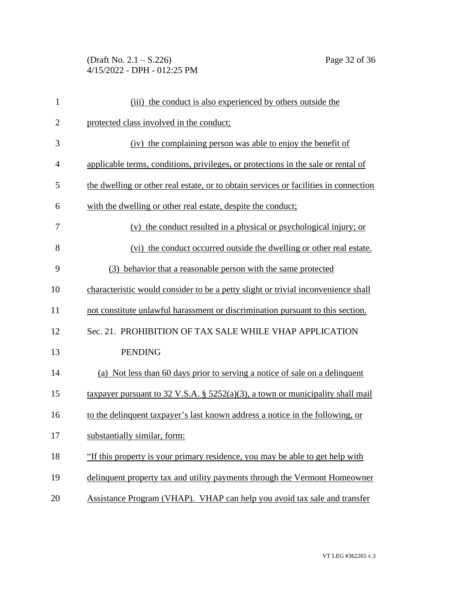(Draft No. 2.1 – S.226) Page 32 of 36 4/15/2022 - DPH - 012:25 PM

| $\mathbf{1}$   | (iii) the conduct is also experienced by others outside the                          |
|----------------|--------------------------------------------------------------------------------------|
| $\overline{2}$ | protected class involved in the conduct;                                             |
| 3              | (iv) the complaining person was able to enjoy the benefit of                         |
| 4              | applicable terms, conditions, privileges, or protections in the sale or rental of    |
| 5              | the dwelling or other real estate, or to obtain services or facilities in connection |
| 6              | with the dwelling or other real estate, despite the conduct;                         |
| 7              | (v) the conduct resulted in a physical or psychological injury; or                   |
| 8              | (vi) the conduct occurred outside the dwelling or other real estate.                 |
| 9              | (3) behavior that a reasonable person with the same protected                        |
| 10             | characteristic would consider to be a petty slight or trivial inconvenience shall    |
| 11             | not constitute unlawful harassment or discrimination pursuant to this section.       |
| 12             | Sec. 21. PROHIBITION OF TAX SALE WHILE VHAP APPLICATION                              |
| 13             | <b>PENDING</b>                                                                       |
| 14             | (a) Not less than 60 days prior to serving a notice of sale on a delinquent          |
| 15             | taxpayer pursuant to 32 V.S.A. § $5252(a)(3)$ , a town or municipality shall mail    |
| 16             | to the delinquent taxpayer's last known address a notice in the following, or        |
| 17             | substantially similar, form:                                                         |
| 18             | "If this property is your primary residence, you may be able to get help with        |
| 19             | delinquent property tax and utility payments through the Vermont Homeowner           |
| 20             | Assistance Program (VHAP). VHAP can help you avoid tax sale and transfer             |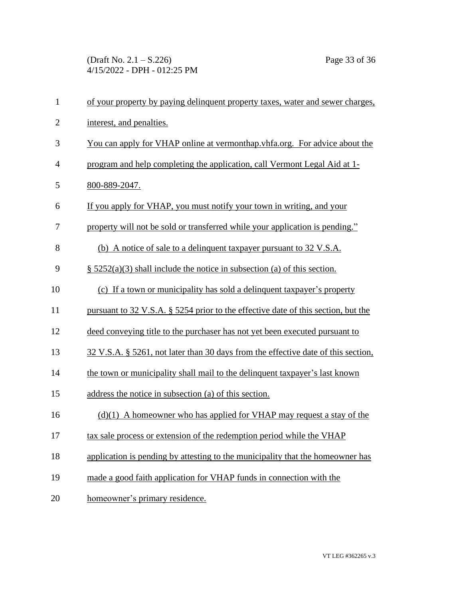(Draft No. 2.1 – S.226) Page 33 of 36 4/15/2022 - DPH - 012:25 PM

| $\mathbf{1}$   | of your property by paying delinquent property taxes, water and sewer charges,    |
|----------------|-----------------------------------------------------------------------------------|
| $\overline{2}$ | interest, and penalties.                                                          |
| 3              | You can apply for VHAP online at vermonthap.vhfa.org. For advice about the        |
| $\overline{4}$ | program and help completing the application, call Vermont Legal Aid at 1-         |
| 5              | 800-889-2047.                                                                     |
| 6              | If you apply for VHAP, you must notify your town in writing, and your             |
| 7              | property will not be sold or transferred while your application is pending."      |
| 8              | (b) A notice of sale to a delinquent taxpayer pursuant to 32 V.S.A.               |
| 9              | $\S$ 5252(a)(3) shall include the notice in subsection (a) of this section.       |
| 10             | (c) If a town or municipality has sold a delinquent taxpayer's property           |
| 11             | pursuant to 32 V.S.A. § 5254 prior to the effective date of this section, but the |
| 12             | deed conveying title to the purchaser has not yet been executed pursuant to       |
| 13             | 32 V.S.A. § 5261, not later than 30 days from the effective date of this section, |
| 14             | the town or municipality shall mail to the delinquent taxpayer's last known       |
| 15             | address the notice in subsection (a) of this section.                             |
| 16             | $(d)(1)$ A homeowner who has applied for VHAP may request a stay of the           |
| 17             | tax sale process or extension of the redemption period while the VHAP             |
| 18             | application is pending by attesting to the municipality that the homeowner has    |
| 19             | made a good faith application for VHAP funds in connection with the               |
| 20             | homeowner's primary residence.                                                    |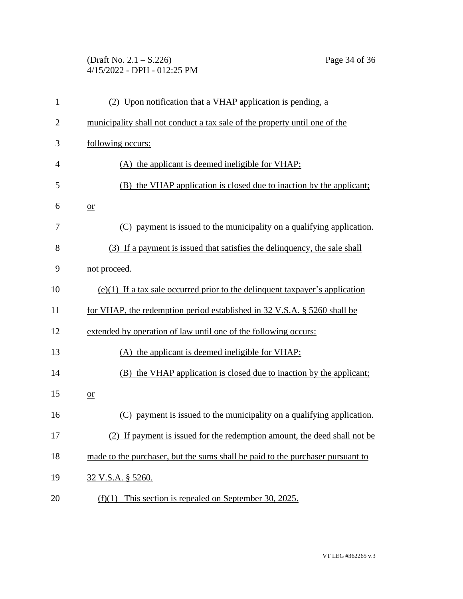# (Draft No. 2.1 – S.226) Page 34 of 36 4/15/2022 - DPH - 012:25 PM

| $\mathbf{1}$   | (2) Upon notification that a VHAP application is pending, a                    |  |  |
|----------------|--------------------------------------------------------------------------------|--|--|
| $\overline{c}$ | municipality shall not conduct a tax sale of the property until one of the     |  |  |
| 3              | following occurs:                                                              |  |  |
| 4              | (A) the applicant is deemed ineligible for VHAP;                               |  |  |
| 5              | (B) the VHAP application is closed due to inaction by the applicant;           |  |  |
| 6              | $or$                                                                           |  |  |
| 7              | (C) payment is issued to the municipality on a qualifying application.         |  |  |
| 8              | (3) If a payment is issued that satisfies the delinquency, the sale shall      |  |  |
| 9              | not proceed.                                                                   |  |  |
| 10             | $(e)(1)$ If a tax sale occurred prior to the delinquent taxpayer's application |  |  |
| 11             | for VHAP, the redemption period established in 32 V.S.A. § 5260 shall be       |  |  |
| 12             | extended by operation of law until one of the following occurs:                |  |  |
| 13             | (A) the applicant is deemed ineligible for VHAP;                               |  |  |
| 14             | (B) the VHAP application is closed due to inaction by the applicant;           |  |  |
| 15             | $or$                                                                           |  |  |
| 16             | payment is issued to the municipality on a qualifying application.             |  |  |
| 17             | (2) If payment is issued for the redemption amount, the deed shall not be      |  |  |
| 18             | made to the purchaser, but the sums shall be paid to the purchaser pursuant to |  |  |
| 19             | 32 V.S.A. § 5260.                                                              |  |  |
| 20             | This section is repealed on September 30, 2025.<br>(f)(1)                      |  |  |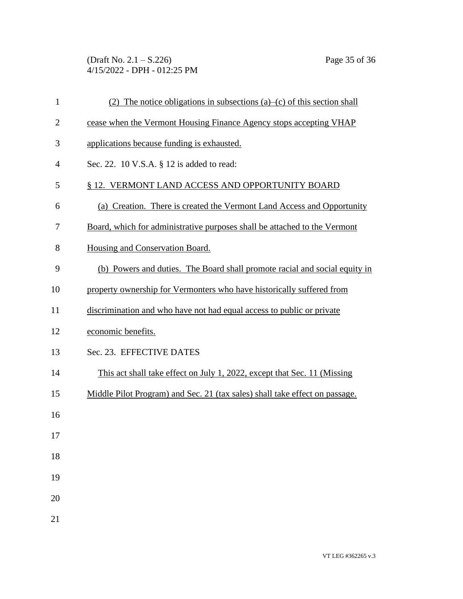(Draft No. 2.1 – S.226) Page 35 of 36 4/15/2022 - DPH - 012:25 PM

| 1              | (2) The notice obligations in subsections (a)–(c) of this section shall     |
|----------------|-----------------------------------------------------------------------------|
| $\overline{2}$ | cease when the Vermont Housing Finance Agency stops accepting VHAP          |
| 3              | applications because funding is exhausted.                                  |
| 4              | Sec. 22. 10 V.S.A. § 12 is added to read:                                   |
| 5              | § 12. VERMONT LAND ACCESS AND OPPORTUNITY BOARD                             |
| 6              | (a) Creation. There is created the Vermont Land Access and Opportunity      |
| 7              | Board, which for administrative purposes shall be attached to the Vermont   |
| 8              | Housing and Conservation Board.                                             |
| 9              | (b) Powers and duties. The Board shall promote racial and social equity in  |
| 10             | property ownership for Vermonters who have historically suffered from       |
| 11             | discrimination and who have not had equal access to public or private       |
| 12             | economic benefits.                                                          |
| 13             | Sec. 23. EFFECTIVE DATES                                                    |
| 14             | This act shall take effect on July 1, 2022, except that Sec. 11 (Missing    |
| 15             | Middle Pilot Program) and Sec. 21 (tax sales) shall take effect on passage. |
| 16             |                                                                             |
| 17             |                                                                             |
| 18             |                                                                             |
| 19             |                                                                             |
| 20             |                                                                             |
| 21             |                                                                             |